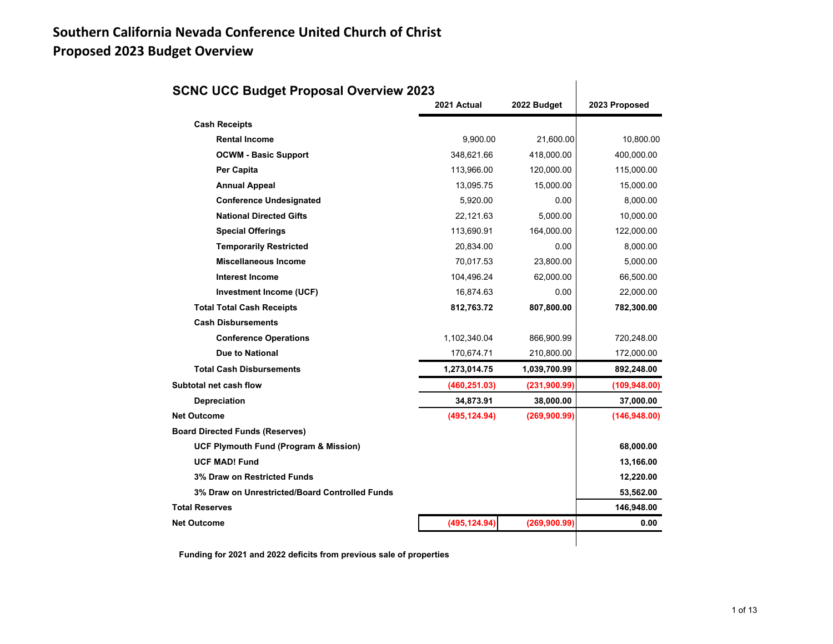## **Southern California Nevada Conference United Church of Christ Proposed 2023 Budget Overview**

| <b>SCNC UCC Budget Proposal Overview 2023</b>    |               |               |               |
|--------------------------------------------------|---------------|---------------|---------------|
|                                                  | 2021 Actual   | 2022 Budget   | 2023 Proposed |
| <b>Cash Receipts</b>                             |               |               |               |
| <b>Rental Income</b>                             | 9.900.00      | 21,600.00     | 10,800.00     |
| <b>OCWM - Basic Support</b>                      | 348,621.66    | 418,000.00    | 400,000.00    |
| <b>Per Capita</b>                                | 113,966.00    | 120,000.00    | 115,000.00    |
| <b>Annual Appeal</b>                             | 13,095.75     | 15,000.00     | 15,000.00     |
| <b>Conference Undesignated</b>                   | 5,920.00      | 0.00          | 8,000.00      |
| <b>National Directed Gifts</b>                   | 22.121.63     | 5,000.00      | 10,000.00     |
| <b>Special Offerings</b>                         | 113,690.91    | 164,000.00    | 122,000.00    |
| <b>Temporarily Restricted</b>                    | 20,834.00     | 0.00          | 8,000.00      |
| <b>Miscellaneous Income</b>                      | 70,017.53     | 23,800.00     | 5,000.00      |
| <b>Interest Income</b>                           | 104,496.24    | 62,000.00     | 66,500.00     |
| Investment Income (UCF)                          | 16,874.63     | 0.00          | 22,000.00     |
| <b>Total Total Cash Receipts</b>                 | 812,763.72    | 807,800.00    | 782,300.00    |
| <b>Cash Disbursements</b>                        |               |               |               |
| <b>Conference Operations</b>                     | 1,102,340.04  | 866,900.99    | 720,248.00    |
| <b>Due to National</b>                           | 170,674.71    | 210,800.00    | 172,000.00    |
| <b>Total Cash Disbursements</b>                  | 1,273,014.75  | 1,039,700.99  | 892,248.00    |
| Subtotal net cash flow                           | (460, 251.03) | (231, 900.99) | (109, 948.00) |
| Depreciation                                     | 34,873.91     | 38,000.00     | 37,000.00     |
| <b>Net Outcome</b>                               | (495, 124.94) | (269, 900.99) | (146, 948.00) |
| <b>Board Directed Funds (Reserves)</b>           |               |               |               |
| <b>UCF Plymouth Fund (Program &amp; Mission)</b> |               |               | 68,000.00     |
| <b>UCF MAD! Fund</b>                             |               |               | 13,166.00     |
| <b>3% Draw on Restricted Funds</b>               |               |               | 12,220.00     |
| 3% Draw on Unrestricted/Board Controlled Funds   |               |               | 53,562.00     |
| <b>Total Reserves</b>                            |               |               | 146,948.00    |
| <b>Net Outcome</b>                               | (495, 124.94) | (269, 900.99) | 0.00          |
|                                                  |               |               |               |

# **SCNC UCC Budget Proposal Overview 2023**

 **Funding for 2021 and 2022 deficits from previous sale of properties**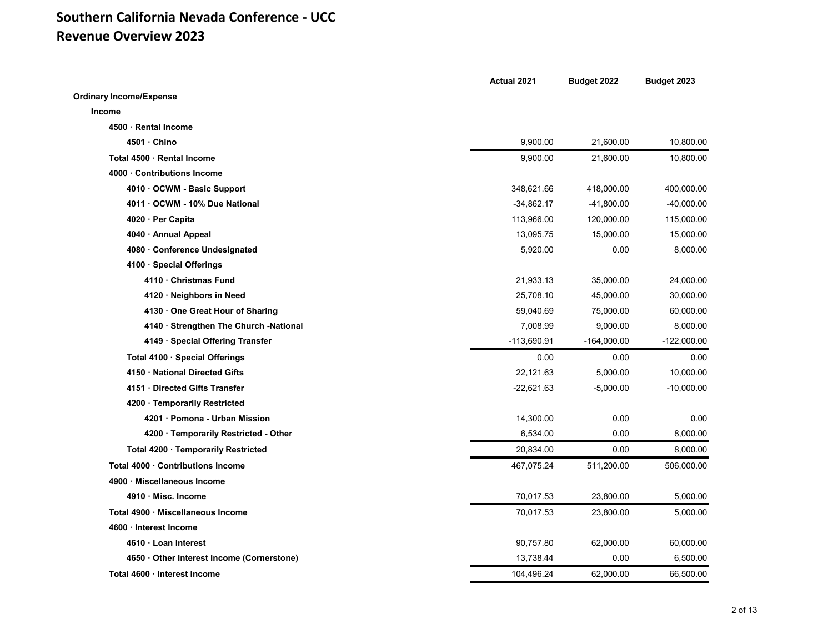### **Southern California Nevada Conference ‐ UCC Revenue Overview 2023**

|                                            | Actual 2021  | Budget 2022   | Budget 2023   |
|--------------------------------------------|--------------|---------------|---------------|
| <b>Ordinary Income/Expense</b>             |              |               |               |
| <b>Income</b>                              |              |               |               |
| 4500 · Rental Income                       |              |               |               |
| 4501 Chino                                 | 9,900.00     | 21,600.00     | 10,800.00     |
| Total 4500 Rental Income                   | 9,900.00     | 21,600.00     | 10,800.00     |
| 4000 Contributions Income                  |              |               |               |
| 4010 OCWM - Basic Support                  | 348,621.66   | 418,000.00    | 400,000.00    |
| 4011 OCWM - 10% Due National               | $-34,862.17$ | -41,800.00    | $-40,000.00$  |
| 4020 · Per Capita                          | 113,966.00   | 120,000.00    | 115,000.00    |
| 4040 · Annual Appeal                       | 13,095.75    | 15,000.00     | 15,000.00     |
| 4080 Conference Undesignated               | 5,920.00     | 0.00          | 8,000.00      |
| 4100 · Special Offerings                   |              |               |               |
| 4110 Christmas Fund                        | 21,933.13    | 35,000.00     | 24,000.00     |
| 4120 · Neighbors in Need                   | 25,708.10    | 45,000.00     | 30,000.00     |
| 4130 One Great Hour of Sharing             | 59,040.69    | 75,000.00     | 60,000.00     |
| 4140 · Strengthen The Church -National     | 7,008.99     | 9,000.00      | 8,000.00      |
| 4149 · Special Offering Transfer           | -113,690.91  | $-164,000.00$ | $-122,000.00$ |
| Total 4100 · Special Offerings             | 0.00         | 0.00          | 0.00          |
| 4150 National Directed Gifts               | 22,121.63    | 5,000.00      | 10,000.00     |
| 4151 Directed Gifts Transfer               | $-22,621.63$ | $-5,000.00$   | $-10,000.00$  |
| 4200 · Temporarily Restricted              |              |               |               |
| 4201 · Pomona - Urban Mission              | 14,300.00    | 0.00          | 0.00          |
| 4200 Temporarily Restricted - Other        | 6,534.00     | 0.00          | 8,000.00      |
| Total 4200 · Temporarily Restricted        | 20,834.00    | 0.00          | 8,000.00      |
| Total 4000 · Contributions Income          | 467,075.24   | 511,200.00    | 506,000.00    |
| 4900 · Miscellaneous Income                |              |               |               |
| 4910 · Misc. Income                        | 70,017.53    | 23,800.00     | 5,000.00      |
| Total 4900 · Miscellaneous Income          | 70,017.53    | 23,800.00     | 5,000.00      |
| 4600 · Interest Income                     |              |               |               |
| 4610 · Loan Interest                       | 90,757.80    | 62,000.00     | 60,000.00     |
| 4650 · Other Interest Income (Cornerstone) | 13,738.44    | 0.00          | 6,500.00      |
| Total 4600 · Interest Income               | 104,496.24   | 62,000.00     | 66,500.00     |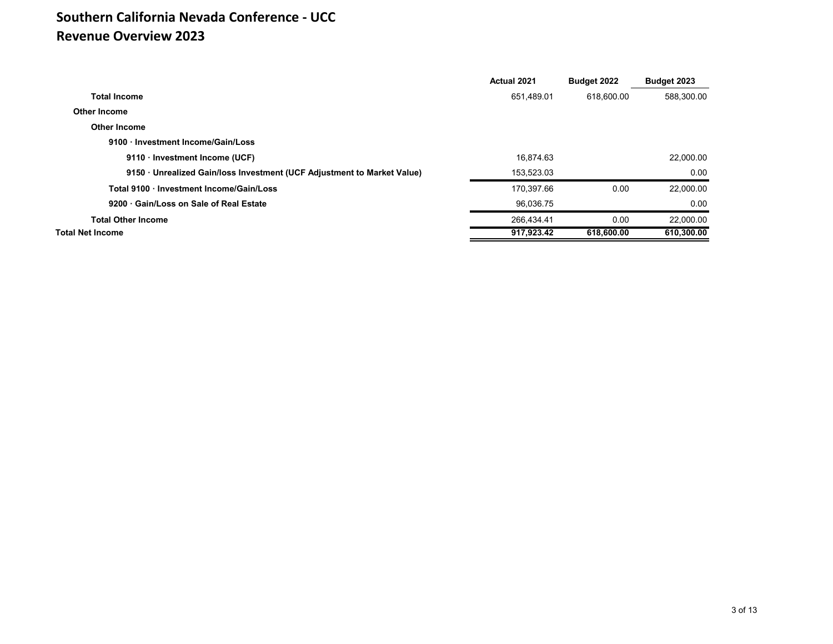## **Southern California Nevada Conference ‐ UCC Revenue Overview 2023**

|                                                                         | <b>Actual 2021</b> | Budget 2022 | Budget 2023 |
|-------------------------------------------------------------------------|--------------------|-------------|-------------|
| <b>Total Income</b>                                                     | 651.489.01         | 618.600.00  | 588.300.00  |
| <b>Other Income</b>                                                     |                    |             |             |
| <b>Other Income</b>                                                     |                    |             |             |
| 9100 Investment Income/Gain/Loss                                        |                    |             |             |
| 9110 · Investment Income (UCF)                                          | 16.874.63          |             | 22,000.00   |
| 9150 · Unrealized Gain/loss Investment (UCF Adjustment to Market Value) | 153.523.03         |             | 0.00        |
| Total 9100 Investment Income/Gain/Loss                                  | 170.397.66         | 0.00        | 22,000.00   |
| 9200 Gain/Loss on Sale of Real Estate                                   | 96.036.75          |             | 0.00        |
| <b>Total Other Income</b>                                               | 266,434.41         | 0.00        | 22.000.00   |
| <b>Total Net Income</b>                                                 | 917,923.42         | 618,600.00  | 610,300.00  |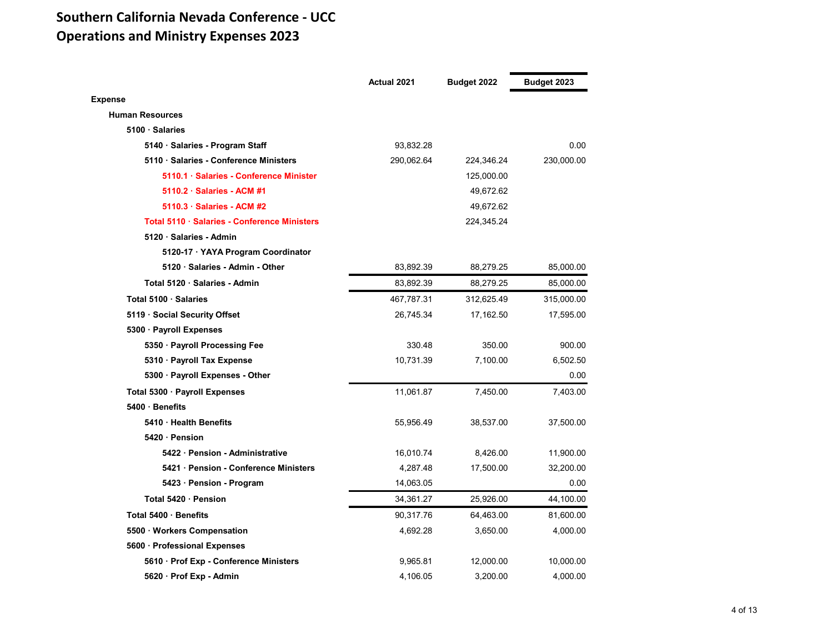## **Southern California Nevada Conference ‐ UCC Operations and Ministry Expenses 2023**

|                                              | <b>Actual 2021</b> | Budget 2022 | Budget 2023 |
|----------------------------------------------|--------------------|-------------|-------------|
| <b>Expense</b>                               |                    |             |             |
| <b>Human Resources</b>                       |                    |             |             |
| 5100 · Salaries                              |                    |             |             |
| 5140 · Salaries - Program Staff              | 93,832.28          |             | 0.00        |
| 5110 · Salaries - Conference Ministers       | 290,062.64         | 224,346.24  | 230,000.00  |
| 5110.1 · Salaries - Conference Minister      |                    | 125,000.00  |             |
| 5110.2 · Salaries - ACM #1                   |                    | 49,672.62   |             |
| 5110.3 · Salaries - ACM #2                   |                    | 49,672.62   |             |
| Total 5110 · Salaries - Conference Ministers |                    | 224,345.24  |             |
| 5120 · Salaries - Admin                      |                    |             |             |
| 5120-17 · YAYA Program Coordinator           |                    |             |             |
| 5120 · Salaries - Admin - Other              | 83,892.39          | 88,279.25   | 85,000.00   |
| Total 5120 · Salaries - Admin                | 83,892.39          | 88,279.25   | 85,000.00   |
| Total 5100 · Salaries                        | 467,787.31         | 312,625.49  | 315,000.00  |
| 5119 · Social Security Offset                | 26,745.34          | 17,162.50   | 17,595.00   |
| 5300 · Payroll Expenses                      |                    |             |             |
| 5350 · Payroll Processing Fee                | 330.48             | 350.00      | 900.00      |
| 5310 · Payroll Tax Expense                   | 10,731.39          | 7,100.00    | 6,502.50    |
| 5300 · Payroll Expenses - Other              |                    |             | 0.00        |
| Total 5300 · Payroll Expenses                | 11,061.87          | 7,450.00    | 7,403.00    |
| 5400 · Benefits                              |                    |             |             |
| 5410 · Health Benefits                       | 55,956.49          | 38,537.00   | 37,500.00   |
| 5420 Pension                                 |                    |             |             |
| 5422 Pension - Administrative                | 16,010.74          | 8,426.00    | 11,900.00   |
| 5421 · Pension - Conference Ministers        | 4,287.48           | 17,500.00   | 32,200.00   |
| 5423 · Pension - Program                     | 14,063.05          |             | 0.00        |
| Total 5420 · Pension                         | 34,361.27          | 25,926.00   | 44,100.00   |
| Total 5400 · Benefits                        | 90,317.76          | 64,463.00   | 81,600.00   |
| 5500 · Workers Compensation                  | 4,692.28           | 3,650.00    | 4,000.00    |
| 5600 · Professional Expenses                 |                    |             |             |
| 5610 · Prof Exp - Conference Ministers       | 9,965.81           | 12,000.00   | 10,000.00   |
| 5620 · Prof Exp - Admin                      | 4.106.05           | 3.200.00    | 4.000.00    |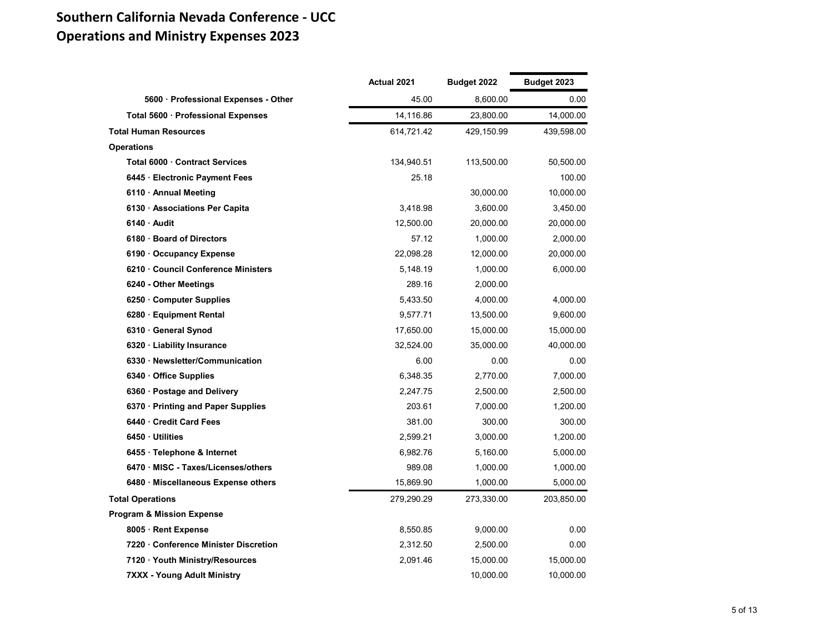## **Southern California Nevada Conference ‐ UCC Operations and Ministry Expenses 2023**

|                                      | Actual 2021 | Budget 2022 | Budget 2023 |
|--------------------------------------|-------------|-------------|-------------|
| 5600 · Professional Expenses - Other | 45.00       | 8,600.00    | 0.00        |
| Total 5600 · Professional Expenses   | 14,116.86   | 23,800.00   | 14,000.00   |
| <b>Total Human Resources</b>         | 614,721.42  | 429,150.99  | 439,598.00  |
| <b>Operations</b>                    |             |             |             |
| Total 6000 · Contract Services       | 134,940.51  | 113,500.00  | 50,500.00   |
| 6445 · Electronic Payment Fees       | 25.18       |             | 100.00      |
| 6110 · Annual Meeting                |             | 30,000.00   | 10,000.00   |
| 6130 · Associations Per Capita       | 3,418.98    | 3,600.00    | 3,450.00    |
| 6140 Audit                           | 12,500.00   | 20,000.00   | 20,000.00   |
| 6180 · Board of Directors            | 57.12       | 1,000.00    | 2,000.00    |
| 6190 Occupancy Expense               | 22,098.28   | 12,000.00   | 20,000.00   |
| 6210 Council Conference Ministers    | 5,148.19    | 1,000.00    | 6,000.00    |
| 6240 - Other Meetings                | 289.16      | 2,000.00    |             |
| 6250 Computer Supplies               | 5,433.50    | 4,000.00    | 4,000.00    |
| 6280 · Equipment Rental              | 9,577.71    | 13,500.00   | 9,600.00    |
| 6310 General Synod                   | 17,650.00   | 15,000.00   | 15,000.00   |
| 6320 · Liability Insurance           | 32,524.00   | 35,000.00   | 40,000.00   |
| 6330 · Newsletter/Communication      | 6.00        | 0.00        | 0.00        |
| 6340 · Office Supplies               | 6,348.35    | 2,770.00    | 7,000.00    |
| 6360 · Postage and Delivery          | 2,247.75    | 2,500.00    | 2,500.00    |
| 6370 · Printing and Paper Supplies   | 203.61      | 7,000.00    | 1,200.00    |
| 6440 Credit Card Fees                | 381.00      | 300.00      | 300.00      |
| 6450 Utilities                       | 2,599.21    | 3,000.00    | 1,200.00    |
| 6455 · Telephone & Internet          | 6,982.76    | 5,160.00    | 5,000.00    |
| 6470 MISC - Taxes/Licenses/others    | 989.08      | 1,000.00    | 1,000.00    |
| 6480 · Miscellaneous Expense others  | 15,869.90   | 1,000.00    | 5,000.00    |
| <b>Total Operations</b>              | 279,290.29  | 273,330.00  | 203,850.00  |
| <b>Program &amp; Mission Expense</b> |             |             |             |
| 8005 · Rent Expense                  | 8,550.85    | 9,000.00    | 0.00        |
| 7220 Conference Minister Discretion  | 2,312.50    | 2,500.00    | 0.00        |
| 7120 · Youth Ministry/Resources      | 2,091.46    | 15,000.00   | 15,000.00   |
| <b>7XXX - Young Adult Ministry</b>   |             | 10,000.00   | 10,000.00   |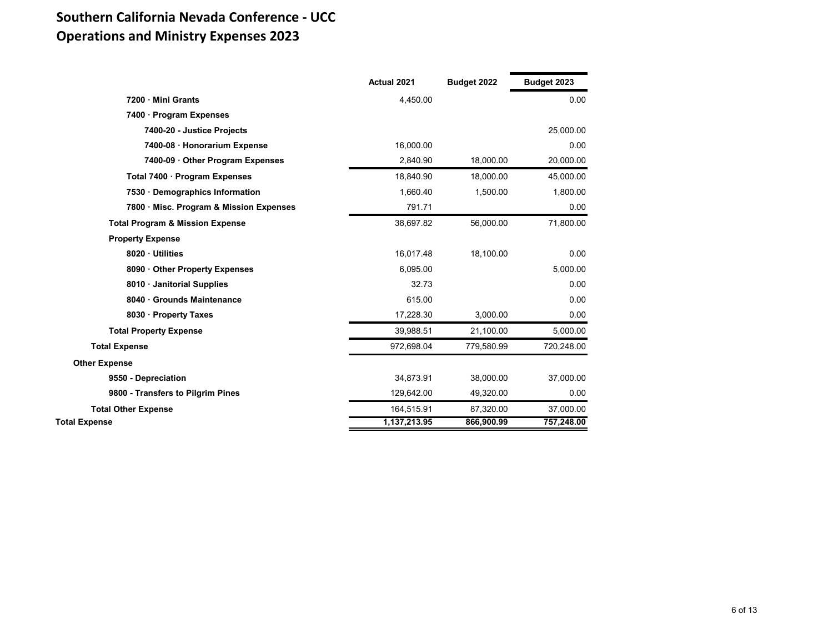## **Southern California Nevada Conference ‐ UCC Operations and Ministry Expenses 2023**

|                                            | Actual 2021  | Budget 2022 | Budget 2023 |
|--------------------------------------------|--------------|-------------|-------------|
| 7200 Mini Grants                           | 4,450.00     |             | 0.00        |
| 7400 · Program Expenses                    |              |             |             |
| 7400-20 - Justice Projects                 |              |             | 25,000.00   |
| 7400-08 · Honorarium Expense               | 16,000.00    |             | 0.00        |
| 7400-09 Other Program Expenses             | 2,840.90     | 18,000.00   | 20,000.00   |
| Total 7400 · Program Expenses              | 18,840.90    | 18,000.00   | 45,000.00   |
| 7530 Demographics Information              | 1,660.40     | 1,500.00    | 1,800.00    |
| 7800 · Misc. Program & Mission Expenses    | 791.71       |             | 0.00        |
| <b>Total Program &amp; Mission Expense</b> | 38,697.82    | 56,000.00   | 71,800.00   |
| <b>Property Expense</b>                    |              |             |             |
| 8020 Utilities                             | 16,017.48    | 18,100.00   | 0.00        |
| 8090 Other Property Expenses               | 6,095.00     |             | 5,000.00    |
| 8010 Janitorial Supplies                   | 32.73        |             | 0.00        |
| 8040 Grounds Maintenance                   | 615.00       |             | 0.00        |
| 8030 · Property Taxes                      | 17,228.30    | 3,000.00    | 0.00        |
| <b>Total Property Expense</b>              | 39,988.51    | 21,100.00   | 5,000.00    |
| <b>Total Expense</b>                       | 972,698.04   | 779,580.99  | 720,248.00  |
| <b>Other Expense</b>                       |              |             |             |
| 9550 - Depreciation                        | 34,873.91    | 38,000.00   | 37,000.00   |
| 9800 - Transfers to Pilgrim Pines          | 129,642.00   | 49,320.00   | 0.00        |
| <b>Total Other Expense</b>                 | 164,515.91   | 87,320.00   | 37,000.00   |
| <b>Total Expense</b>                       | 1,137,213.95 | 866,900.99  | 757,248.00  |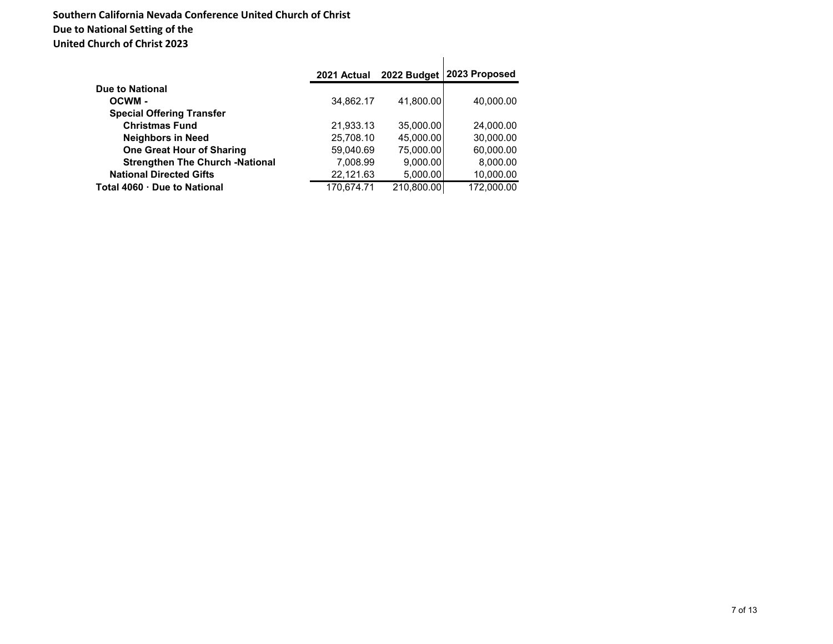#### **Southern California Nevada Conference United Church of Christ Due to National Setting of the United Church of Christ 2023**

|                                        | 2021 Actual | 2022 Budget | 2023 Proposed |
|----------------------------------------|-------------|-------------|---------------|
| Due to National                        |             |             |               |
| OCWM-                                  | 34,862.17   | 41.800.00   | 40,000.00     |
| <b>Special Offering Transfer</b>       |             |             |               |
| <b>Christmas Fund</b>                  | 21,933.13   | 35,000.00   | 24,000.00     |
| <b>Neighbors in Need</b>               | 25,708.10   | 45,000.00   | 30,000.00     |
| <b>One Great Hour of Sharing</b>       | 59,040.69   | 75,000.00   | 60,000.00     |
| <b>Strengthen The Church -National</b> | 7,008.99    | 9,000.00    | 8,000.00      |
| <b>National Directed Gifts</b>         | 22,121.63   | 5,000.00    | 10,000.00     |
| Total 4060 · Due to National           | 170.674.71  | 210.800.00  | 172,000.00    |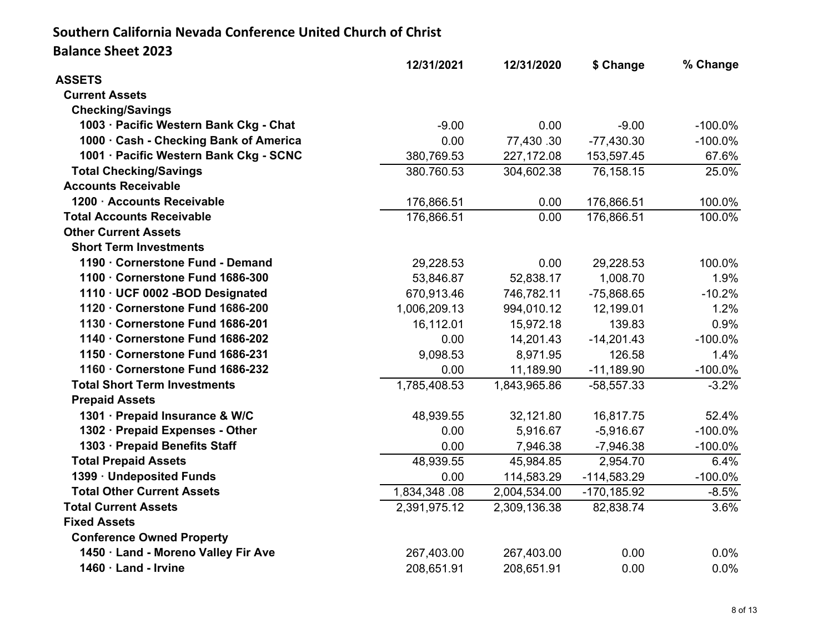### **Southern California Nevada Conference United Church of Christ Balance Sheet 2023**

| 12/31/2021   | 12/31/2020   | \$ Change      | % Change   |
|--------------|--------------|----------------|------------|
|              |              |                |            |
|              |              |                |            |
|              |              |                |            |
| $-9.00$      | 0.00         | $-9.00$        | $-100.0\%$ |
| 0.00         | 77,430.30    | $-77,430.30$   | $-100.0\%$ |
| 380,769.53   | 227,172.08   | 153,597.45     | 67.6%      |
| 380.760.53   | 304,602.38   | 76,158.15      | 25.0%      |
|              |              |                |            |
| 176,866.51   | 0.00         | 176,866.51     | 100.0%     |
| 176,866.51   | 0.00         | 176,866.51     | 100.0%     |
|              |              |                |            |
|              |              |                |            |
| 29,228.53    | 0.00         | 29,228.53      | 100.0%     |
| 53,846.87    | 52,838.17    | 1,008.70       | 1.9%       |
| 670,913.46   | 746,782.11   | $-75,868.65$   | $-10.2%$   |
| 1,006,209.13 | 994,010.12   | 12,199.01      | 1.2%       |
| 16,112.01    | 15,972.18    | 139.83         | 0.9%       |
| 0.00         | 14,201.43    | $-14,201.43$   | $-100.0\%$ |
| 9,098.53     | 8,971.95     | 126.58         | 1.4%       |
| 0.00         | 11,189.90    | $-11,189.90$   | $-100.0\%$ |
| 1,785,408.53 | 1,843,965.86 | $-58,557.33$   | $-3.2%$    |
|              |              |                |            |
| 48,939.55    | 32,121.80    | 16,817.75      | 52.4%      |
| 0.00         | 5,916.67     | $-5,916.67$    | $-100.0\%$ |
| 0.00         | 7,946.38     | $-7,946.38$    | $-100.0%$  |
| 48,939.55    | 45,984.85    | 2,954.70       | 6.4%       |
| 0.00         | 114,583.29   | $-114,583.29$  | $-100.0\%$ |
| 1,834,348.08 | 2,004,534.00 | $-170, 185.92$ | $-8.5%$    |
| 2,391,975.12 | 2,309,136.38 | 82,838.74      | $3.6\%$    |
|              |              |                |            |
|              |              |                |            |
| 267,403.00   | 267,403.00   | 0.00           | 0.0%       |
| 208,651.91   | 208,651.91   | 0.00           | 0.0%       |
|              |              |                |            |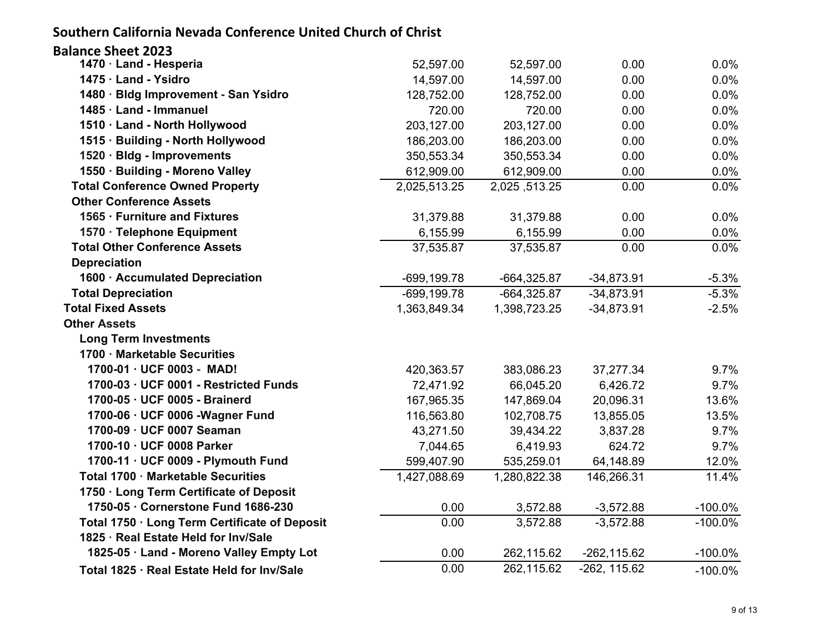### **Southern California Nevada Conference United Church of Christ**

| <b>Balance Sheet 2023</b>                     |                |               |                |            |
|-----------------------------------------------|----------------|---------------|----------------|------------|
| 1470 · Land - Hesperia                        | 52,597.00      | 52,597.00     | 0.00           | 0.0%       |
| 1475 · Land - Ysidro                          | 14,597.00      | 14,597.00     | 0.00           | 0.0%       |
| 1480 · Bldg Improvement - San Ysidro          | 128,752.00     | 128,752.00    | 0.00           | 0.0%       |
| 1485 · Land - Immanuel                        | 720.00         | 720.00        | 0.00           | 0.0%       |
| 1510 · Land - North Hollywood                 | 203,127.00     | 203,127.00    | 0.00           | 0.0%       |
| 1515 · Building - North Hollywood             | 186,203.00     | 186,203.00    | 0.00           | 0.0%       |
| 1520 · Bldg - Improvements                    | 350,553.34     | 350,553.34    | 0.00           | 0.0%       |
| 1550 · Building - Moreno Valley               | 612,909.00     | 612,909.00    | 0.00           | 0.0%       |
| <b>Total Conference Owned Property</b>        | 2,025,513.25   | 2,025,513.25  | 0.00           | 0.0%       |
| <b>Other Conference Assets</b>                |                |               |                |            |
| 1565 · Furniture and Fixtures                 | 31,379.88      | 31,379.88     | 0.00           | 0.0%       |
| 1570 · Telephone Equipment                    | 6,155.99       | 6,155.99      | 0.00           | 0.0%       |
| <b>Total Other Conference Assets</b>          | 37,535.87      | 37,535.87     | 0.00           | 0.0%       |
| <b>Depreciation</b>                           |                |               |                |            |
| 1600 · Accumulated Depreciation               | $-699, 199.78$ | $-664,325.87$ | $-34,873.91$   | $-5.3%$    |
| <b>Total Depreciation</b>                     | $-699, 199.78$ | $-664,325.87$ | $-34,873.91$   | $-5.3%$    |
| <b>Total Fixed Assets</b>                     | 1,363,849.34   | 1,398,723.25  | $-34,873.91$   | $-2.5%$    |
| <b>Other Assets</b>                           |                |               |                |            |
| <b>Long Term Investments</b>                  |                |               |                |            |
| 1700 · Marketable Securities                  |                |               |                |            |
| 1700-01 · UCF 0003 - MAD!                     | 420,363.57     | 383,086.23    | 37,277.34      | 9.7%       |
| 1700-03 · UCF 0001 - Restricted Funds         | 72,471.92      | 66,045.20     | 6,426.72       | 9.7%       |
| 1700-05 · UCF 0005 - Brainerd                 | 167,965.35     | 147,869.04    | 20,096.31      | 13.6%      |
| 1700-06 · UCF 0006 - Wagner Fund              | 116,563.80     | 102,708.75    | 13,855.05      | 13.5%      |
| 1700-09 · UCF 0007 Seaman                     | 43,271.50      | 39,434.22     | 3,837.28       | 9.7%       |
| 1700-10 · UCF 0008 Parker                     | 7,044.65       | 6,419.93      | 624.72         | 9.7%       |
| 1700-11 · UCF 0009 - Plymouth Fund            | 599,407.90     | 535,259.01    | 64,148.89      | 12.0%      |
| Total 1700 · Marketable Securities            | 1,427,088.69   | 1,280,822.38  | 146,266.31     | 11.4%      |
| 1750 · Long Term Certificate of Deposit       |                |               |                |            |
| 1750-05 · Cornerstone Fund 1686-230           | 0.00           | 3,572.88      | $-3,572.88$    | $-100.0\%$ |
| Total 1750 · Long Term Certificate of Deposit | 0.00           | 3,572.88      | $-3,572.88$    | $-100.0\%$ |
| 1825 · Real Estate Held for Inv/Sale          |                |               |                |            |
| 1825-05 · Land - Moreno Valley Empty Lot      | 0.00           | 262,115.62    | $-262, 115.62$ | $-100.0\%$ |
| Total 1825 · Real Estate Held for Inv/Sale    | 0.00           | 262,115.62    | $-262, 115.62$ | $-100.0\%$ |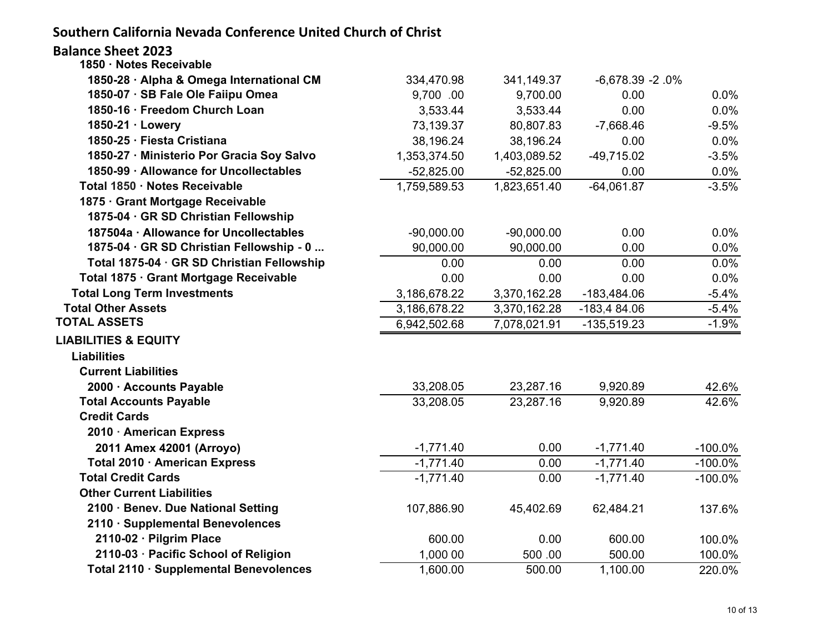**Southern California Nevada Conference United Church of Christ**

| <b>Balance Sheet 2023</b><br>1850 · Notes Receivable |              |              |                   |            |
|------------------------------------------------------|--------------|--------------|-------------------|------------|
| 1850-28 · Alpha & Omega International CM             | 334,470.98   | 341,149.37   | $-6,678.39 -2.0%$ |            |
| 1850-07 · SB Fale Ole Faiipu Omea                    | 9,700.00     | 9,700.00     | 0.00              | 0.0%       |
| 1850-16 · Freedom Church Loan                        | 3,533.44     | 3,533.44     | 0.00              | 0.0%       |
| 1850-21 · Lowery                                     | 73,139.37    | 80,807.83    | $-7,668.46$       | $-9.5%$    |
| 1850-25 · Fiesta Cristiana                           | 38,196.24    | 38,196.24    | 0.00              | 0.0%       |
| 1850-27 · Ministerio Por Gracia Soy Salvo            | 1,353,374.50 | 1,403,089.52 | $-49,715.02$      | $-3.5%$    |
| 1850-99 · Allowance for Uncollectables               | $-52,825.00$ | $-52,825.00$ | 0.00              | 0.0%       |
| Total 1850 · Notes Receivable                        | 1,759,589.53 | 1,823,651.40 | $-64,061.87$      | $-3.5%$    |
| 1875 · Grant Mortgage Receivable                     |              |              |                   |            |
| 1875-04 · GR SD Christian Fellowship                 |              |              |                   |            |
| 187504a · Allowance for Uncollectables               | $-90,000.00$ | $-90,000.00$ | 0.00              | 0.0%       |
| 1875-04 · GR SD Christian Fellowship - 0             | 90,000.00    | 90,000.00    | 0.00              | 0.0%       |
| Total 1875-04 · GR SD Christian Fellowship           | 0.00         | 0.00         | 0.00              | 0.0%       |
| Total 1875 · Grant Mortgage Receivable               | 0.00         | 0.00         | 0.00              | 0.0%       |
| <b>Total Long Term Investments</b>                   | 3,186,678.22 | 3,370,162.28 | $-183,484.06$     | $-5.4%$    |
| <b>Total Other Assets</b>                            | 3,186,678.22 | 3,370,162.28 | $-183,484.06$     | $-5.4\%$   |
| <b>TOTAL ASSETS</b>                                  | 6,942,502.68 | 7,078,021.91 | $-135,519.23$     | $-1.9%$    |
| <b>LIABILITIES &amp; EQUITY</b>                      |              |              |                   |            |
| <b>Liabilities</b>                                   |              |              |                   |            |
| <b>Current Liabilities</b>                           |              |              |                   |            |
| 2000 · Accounts Payable                              | 33,208.05    | 23,287.16    | 9,920.89          | 42.6%      |
| <b>Total Accounts Payable</b>                        | 33,208.05    | 23,287.16    | 9,920.89          | 42.6%      |
| <b>Credit Cards</b>                                  |              |              |                   |            |
| 2010 · American Express                              |              |              |                   |            |
| 2011 Amex 42001 (Arroyo)                             | $-1,771.40$  | 0.00         | $-1,771.40$       | $-100.0\%$ |
| Total 2010 · American Express                        | $-1,771.40$  | 0.00         | $-1,771.40$       | $-100.0\%$ |
| <b>Total Credit Cards</b>                            | $-1,771.40$  | 0.00         | $-1,771.40$       | $-100.0\%$ |
| <b>Other Current Liabilities</b>                     |              |              |                   |            |
| 2100 · Benev. Due National Setting                   | 107,886.90   | 45,402.69    | 62,484.21         | 137.6%     |
| 2110 · Supplemental Benevolences                     |              |              |                   |            |
| 2110-02 · Pilgrim Place                              | 600.00       | 0.00         | 600.00            | 100.0%     |
| 2110-03 · Pacific School of Religion                 | 1,000 00     | 500.00       | 500.00            | 100.0%     |
| Total 2110 · Supplemental Benevolences               | 1,600.00     | 500.00       | 1,100.00          | 220.0%     |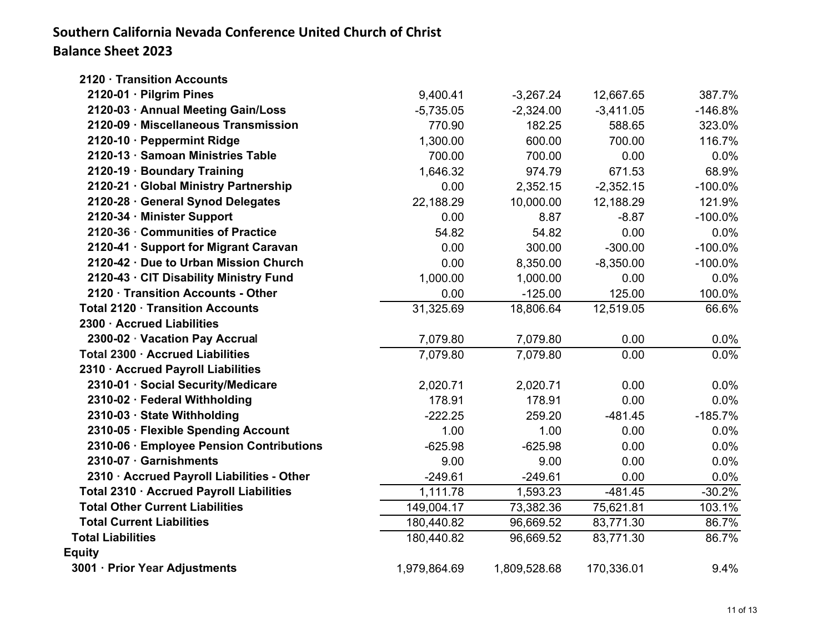## **Southern California Nevada Conference United Church of Christ Balance Sheet 2023**

| 2120 · Transition Accounts                 |              |              |             |            |
|--------------------------------------------|--------------|--------------|-------------|------------|
| 2120-01 · Pilgrim Pines                    | 9,400.41     | $-3,267.24$  | 12,667.65   | 387.7%     |
| 2120-03 · Annual Meeting Gain/Loss         | $-5,735.05$  | $-2,324.00$  | $-3,411.05$ | $-146.8%$  |
| 2120-09 · Miscellaneous Transmission       | 770.90       | 182.25       | 588.65      | 323.0%     |
| 2120-10 · Peppermint Ridge                 | 1,300.00     | 600.00       | 700.00      | 116.7%     |
| 2120-13 · Samoan Ministries Table          | 700.00       | 700.00       | 0.00        | 0.0%       |
| 2120-19 · Boundary Training                | 1,646.32     | 974.79       | 671.53      | 68.9%      |
| 2120-21 · Global Ministry Partnership      | 0.00         | 2,352.15     | $-2,352.15$ | $-100.0\%$ |
| 2120-28 · General Synod Delegates          | 22,188.29    | 10,000.00    | 12,188.29   | 121.9%     |
| 2120-34 · Minister Support                 | 0.00         | 8.87         | $-8.87$     | $-100.0\%$ |
| 2120-36 Communities of Practice            | 54.82        | 54.82        | 0.00        | 0.0%       |
| 2120-41 · Support for Migrant Caravan      | 0.00         | 300.00       | $-300.00$   | $-100.0\%$ |
| 2120-42 · Due to Urban Mission Church      | 0.00         | 8,350.00     | $-8,350.00$ | $-100.0\%$ |
| 2120-43 · CIT Disability Ministry Fund     | 1,000.00     | 1,000.00     | 0.00        | 0.0%       |
| 2120 · Transition Accounts - Other         | 0.00         | $-125.00$    | 125.00      | 100.0%     |
| Total 2120 · Transition Accounts           | 31,325.69    | 18,806.64    | 12,519.05   | 66.6%      |
| 2300 · Accrued Liabilities                 |              |              |             |            |
| 2300-02 · Vacation Pay Accrual             | 7,079.80     | 7,079.80     | 0.00        | $0.0\%$    |
| Total 2300 · Accrued Liabilities           | 7,079.80     | 7,079.80     | 0.00        | 0.0%       |
| 2310 · Accrued Payroll Liabilities         |              |              |             |            |
| 2310-01 · Social Security/Medicare         | 2,020.71     | 2,020.71     | 0.00        | 0.0%       |
| 2310-02 · Federal Withholding              | 178.91       | 178.91       | 0.00        | 0.0%       |
| 2310-03 · State Withholding                | $-222.25$    | 259.20       | $-481.45$   | $-185.7%$  |
| 2310-05 · Flexible Spending Account        | 1.00         | 1.00         | 0.00        | 0.0%       |
| 2310-06 · Employee Pension Contributions   | $-625.98$    | $-625.98$    | 0.00        | 0.0%       |
| 2310-07 · Garnishments                     | 9.00         | 9.00         | 0.00        | 0.0%       |
| 2310 · Accrued Payroll Liabilities - Other | $-249.61$    | $-249.61$    | 0.00        | 0.0%       |
| Total 2310 · Accrued Payroll Liabilities   | 1,111.78     | 1,593.23     | $-481.45$   | $-30.2%$   |
| <b>Total Other Current Liabilities</b>     | 149,004.17   | 73,382.36    | 75,621.81   | 103.1%     |
| <b>Total Current Liabilities</b>           | 180,440.82   | 96,669.52    | 83,771.30   | 86.7%      |
| <b>Total Liabilities</b>                   | 180,440.82   | 96,669.52    | 83,771.30   | 86.7%      |
| <b>Equity</b>                              |              |              |             |            |
| 3001 · Prior Year Adjustments              | 1,979,864.69 | 1,809,528.68 | 170,336.01  | 9.4%       |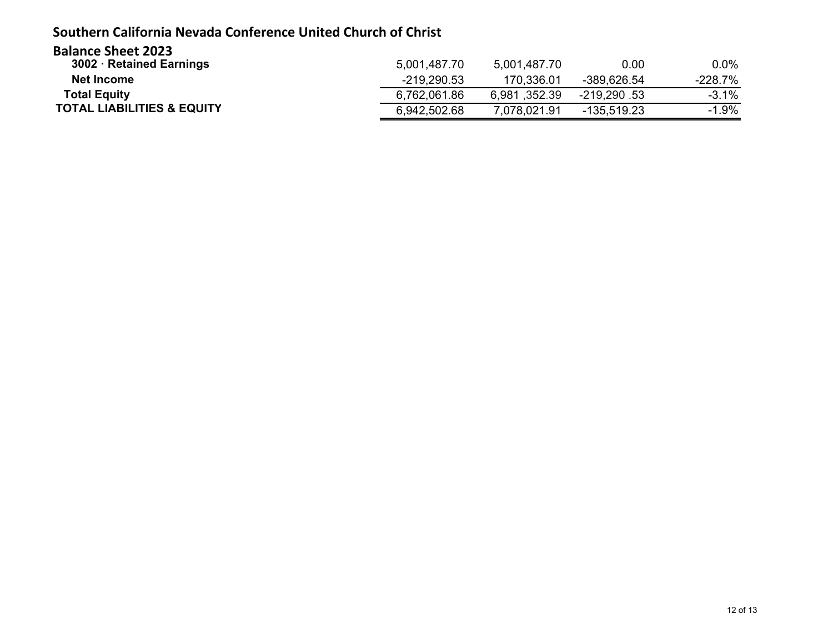### **Southern California Nevada Conference United Church of Christ**

| <b>Balance Sheet 2023</b>             |               |              |               |           |
|---------------------------------------|---------------|--------------|---------------|-----------|
| 3002 · Retained Earnings              | 5,001,487.70  | 5,001,487.70 | 0.00          | $0.0\%$   |
| Net Income                            | $-219,290.53$ | 170.336.01   | -389.626.54   | $-228.7%$ |
| <b>Total Equity</b>                   | 6,762,061.86  | 6,981,352.39 | -219.290.53   | $-3.1%$   |
| <b>TOTAL LIABILITIES &amp; EQUITY</b> | 6,942,502.68  | 7.078.021.91 | $-135.519.23$ | $-1.9%$   |